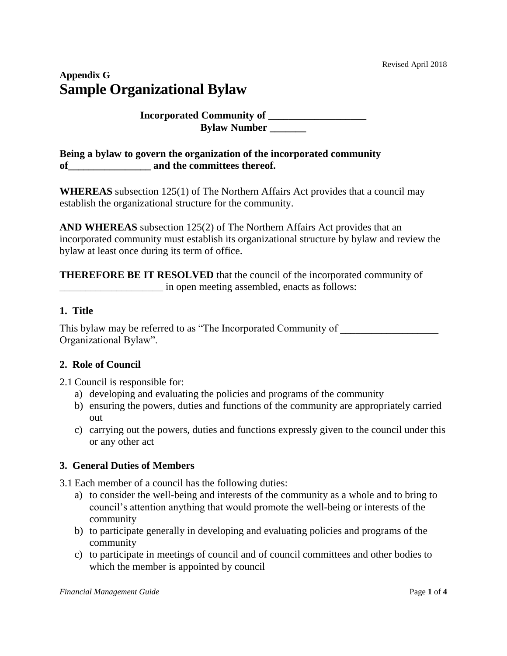# **Appendix G Sample Organizational Bylaw**

## **Incorporated Community of \_\_\_\_\_\_\_\_\_\_\_\_\_\_\_\_\_\_\_ Bylaw Number \_\_\_\_\_\_\_**

**Being a bylaw to govern the organization of the incorporated community**  of and the committees thereof.

**WHEREAS** subsection 125(1) of The Northern Affairs Act provides that a council may establish the organizational structure for the community.

**AND WHEREAS** subsection 125(2) of The Northern Affairs Act provides that an incorporated community must establish its organizational structure by bylaw and review the bylaw at least once during its term of office.

**THEREFORE BE IT RESOLVED** that the council of the incorporated community of \_\_\_\_\_\_\_\_\_\_\_\_\_\_\_\_\_\_\_\_ in open meeting assembled, enacts as follows:

## **1. Title**

This bylaw may be referred to as "The Incorporated Community of Organizational Bylaw".

## **2. Role of Council**

2.1 Council is responsible for:

- a) developing and evaluating the policies and programs of the community
- b) ensuring the powers, duties and functions of the community are appropriately carried out
- c) carrying out the powers, duties and functions expressly given to the council under this or any other act

## **3. General Duties of Members**

3.1 Each member of a council has the following duties:

- a) to consider the well-being and interests of the community as a whole and to bring to council's attention anything that would promote the well-being or interests of the community
- b) to participate generally in developing and evaluating policies and programs of the community
- c) to participate in meetings of council and of council committees and other bodies to which the member is appointed by council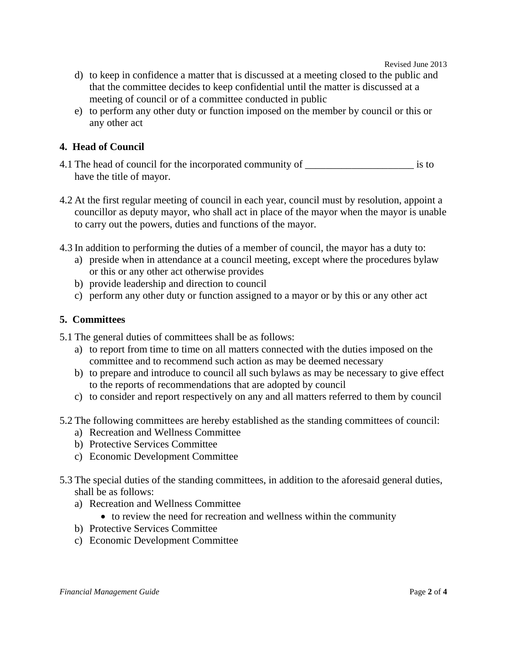Revised June 2013

- d) to keep in confidence a matter that is discussed at a meeting closed to the public and that the committee decides to keep confidential until the matter is discussed at a meeting of council or of a committee conducted in public
- e) to perform any other duty or function imposed on the member by council or this or any other act

## **4. Head of Council**

- 4.1 The head of council for the incorporated community of \_\_\_\_\_\_\_\_\_\_\_\_\_\_\_\_\_\_\_\_\_ is to have the title of mayor.
- 4.2 At the first regular meeting of council in each year, council must by resolution, appoint a councillor as deputy mayor, who shall act in place of the mayor when the mayor is unable to carry out the powers, duties and functions of the mayor.
- 4.3 In addition to performing the duties of a member of council, the mayor has a duty to:
	- a) preside when in attendance at a council meeting, except where the procedures bylaw or this or any other act otherwise provides
	- b) provide leadership and direction to council
	- c) perform any other duty or function assigned to a mayor or by this or any other act

## **5. Committees**

5.1 The general duties of committees shall be as follows:

- a) to report from time to time on all matters connected with the duties imposed on the committee and to recommend such action as may be deemed necessary
- b) to prepare and introduce to council all such bylaws as may be necessary to give effect to the reports of recommendations that are adopted by council
- c) to consider and report respectively on any and all matters referred to them by council
- 5.2 The following committees are hereby established as the standing committees of council:
	- a) Recreation and Wellness Committee
	- b) Protective Services Committee
	- c) Economic Development Committee
- 5.3 The special duties of the standing committees, in addition to the aforesaid general duties, shall be as follows:
	- a) Recreation and Wellness Committee
		- to review the need for recreation and wellness within the community
	- b) Protective Services Committee
	- c) Economic Development Committee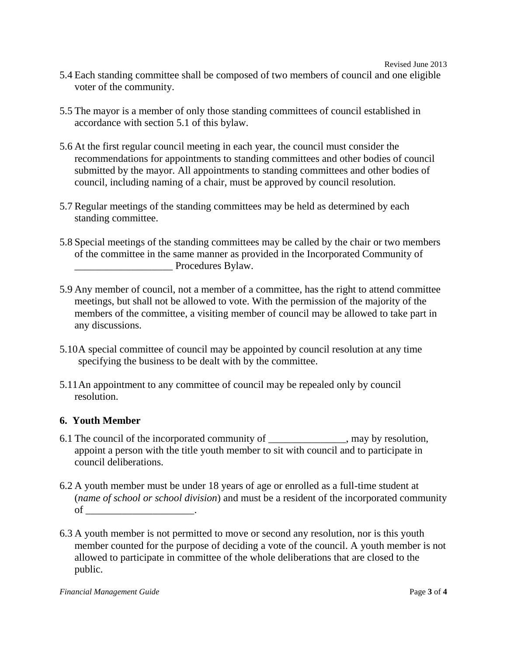- 5.4 Each standing committee shall be composed of two members of council and one eligible voter of the community.
- 5.5 The mayor is a member of only those standing committees of council established in accordance with section 5.1 of this bylaw.
- 5.6 At the first regular council meeting in each year, the council must consider the recommendations for appointments to standing committees and other bodies of council submitted by the mayor. All appointments to standing committees and other bodies of council, including naming of a chair, must be approved by council resolution.
- 5.7 Regular meetings of the standing committees may be held as determined by each standing committee.
- 5.8 Special meetings of the standing committees may be called by the chair or two members of the committee in the same manner as provided in the Incorporated Community of Procedures Bylaw.
- 5.9 Any member of council, not a member of a committee, has the right to attend committee meetings, but shall not be allowed to vote. With the permission of the majority of the members of the committee, a visiting member of council may be allowed to take part in any discussions.
- 5.10A special committee of council may be appointed by council resolution at any time specifying the business to be dealt with by the committee.
- 5.11An appointment to any committee of council may be repealed only by council resolution.

## **6. Youth Member**

- 6.1 The council of the incorporated community of \_\_\_\_\_\_\_\_\_\_\_\_\_\_\_, may by resolution, appoint a person with the title youth member to sit with council and to participate in council deliberations.
- 6.2 A youth member must be under 18 years of age or enrolled as a full-time student at (*name of school or school division*) and must be a resident of the incorporated community of  $\qquad \qquad \qquad .$
- 6.3 A youth member is not permitted to move or second any resolution, nor is this youth member counted for the purpose of deciding a vote of the council. A youth member is not allowed to participate in committee of the whole deliberations that are closed to the public.